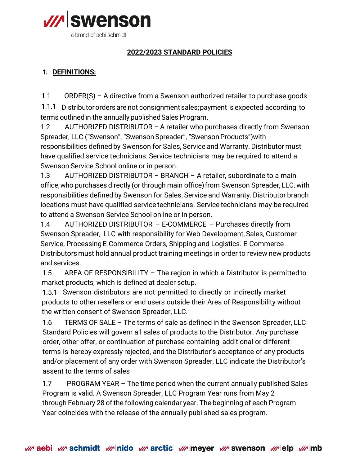

## **2022/2023 STANDARD POLICIES**

## **1. DEFINITIONS:**

1.1 ORDER(S) – A directive from a Swenson authorized retailer to purchase goods.

1.1.1 Distributor orders are not consignment sales;payment is expected according to terms outlined in the annually published Sales Program.

1.2 AUTHORIZED DISTRIBUTOR – A retailer who purchases directly from Swenson Spreader, LLC ("Swenson", "Swenson Spreader", "Swenson Products") with responsibilities defined by Swenson for Sales, Service and Warranty. Distributor must have qualified service technicians. Service technicians may be required to attend a Swenson Service School online or in person.

1.3 AUTHORIZED DISTRIBUTOR – BRANCH – A retailer, subordinate to a main office,who purchases directly (or through main office)from Swenson Spreader, LLC, with responsibilities defined by Swenson for Sales, Service and Warranty. Distributor branch locations must have qualified service technicians. Service technicians may be required to attend a Swenson Service School online or in person.

1.4 AUTHORIZED DISTRIBUTOR – E-COMMERCE – Purchases directly from Swenson Spreader, LLC with responsibility for Web Development, Sales, Customer Service, Processing E-Commerce Orders, Shipping and Logistics. E-Commerce Distributorsmust hold annual product training meetings in order to review new products and services.

1.5 AREA OF RESPONSIBILITY – The region in which a Distributor is permitted to market products, which is defined at dealer setup.

1.5.1 Swenson distributors are not permitted to directly or indirectly market products to other resellers or end users outside their Area of Responsibility without the written consent of Swenson Spreader, LLC.

1.6 TERMS OF SALE – The terms of sale as defined in the Swenson Spreader, LLC Standard Policies will govern all sales of products to the Distributor. Any purchase order, other offer, or continuation of purchase containing additional or different terms is hereby expressly rejected, and the Distributor's acceptance of any products and/or placement of any order with Swenson Spreader, LLC indicate the Distributor's assent to the terms of sales

1.7 PROGRAM YEAR – The time period when the current annually published Sales Program is valid. A Swenson Spreader, LLC Program Year runs from May 2 through February 28 of the following calendar year. The beginning of each Program Year coincides with the release of the annually published sales program.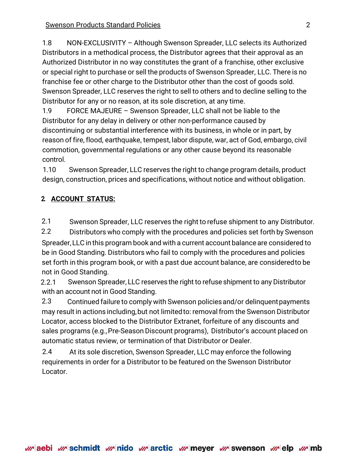1.8 NON-EXCLUSIVITY – Although Swenson Spreader, LLC selects its Authorized Distributors in a methodical process, the Distributor agrees that their approval as an Authorized Distributor in no way constitutes the grant of a franchise, other exclusive or special right to purchase or sell the products of Swenson Spreader, LLC. There is no franchise fee or other charge to the Distributor other than the cost of goods sold. Swenson Spreader, LLC reserves the right to sell to others and to decline selling to the Distributor for any or no reason, at its sole discretion, at any time.

1.9 FORCE MAJEURE – Swenson Spreader, LLC shall not be liable to the Distributor for any delay in delivery or other non-performance caused by discontinuing or substantial interference with its business, in whole or in part, by reason of fire, flood, earthquake, tempest, labor dispute, war, act of God, embargo, civil commotion, governmental regulations or any other cause beyond its reasonable control.

1.10 Swenson Spreader, LLC reserves the right to change program details, product design, construction, prices and specifications, without notice and without obligation.

# **2. ACCOUNT STATUS:**

2.1 Swenson Spreader, LLC reserves the right to refuse shipment to any Distributor.

2.2 Distributors who comply with the procedures and policies set forth by Swenson Spreader,LLC in this program book and with a current account balance are considered to be in Good Standing. Distributors who fail to comply with the procedures and policies set forth in this program book, or with a past due account balance, are consideredto be not in Good Standing.

2.2.1 Swenson Spreader, LLC reserves the right to refuse shipment to any Distributor with an account not in Good Standing.

2.3 Continued failure to comply with Swenson policiesand/or delinquentpayments may result in actions including, but not limited to: removal from the Swenson Distributor Locator, access blocked to the Distributor Extranet, forfeiture of any discounts and sales programs (e.g.,Pre-Season Discount programs), Distributor's account placed on automatic status review, or termination of that Distributor or Dealer.

2.4 At its sole discretion, Swenson Spreader, LLC may enforce the following requirements in order for a Distributor to be featured on the Swenson Distributor Locator.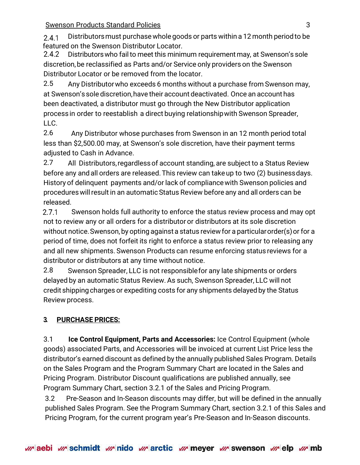**Swenson Products Standard Policies 3** 3

Distributorsmust purchasewhole goods or parts within a 12 month period to be  $241$ featured on the Swenson Distributor Locator.

2.4.2 Distributors who fail to meet this minimum requirement may, at Swenson's sole discretion,be reclassified as Parts and/or Service only providers on the Swenson Distributor Locator or be removed from the locator.

2.5 Any Distributorwho exceeds 6 months without a purchase from Swenson may, at Swenson's sole discretion,have their account deactivated. Once an account has been deactivated, a distributor must go through the New Distributor application process in order to reestablish a direct buying relationshipwith Swenson Spreader, LLC.

2.6 Any Distributor whose purchases from Swenson in an 12 month period total less than \$2,500.00 may, at Swenson's sole discretion, have their payment terms adjusted to Cash in Advance.

2.7 All Distributors,regardless of account standing, are subject to a Status Review before any andall orders are released. This review can takeup to two (2) businessdays. History of delinquent payments and/or lack of compliancewith Swenson policies and procedures will result in an automatic Status Review before any and all orders can be released.

 $2.7.1$  Swenson holds full authority to enforce the status review process and may opt not to review any or all orders for a distributor or distributors at its sole discretion without notice.Swenson, by opting against a status review for a particular order(s) or for a period of time, does not forfeit its right to enforce a status review prior to releasing any and all new shipments. Swenson Products can resume enforcing status reviews for a distributor or distributors at any time without notice.

2.8 Swenson Spreader, LLC is not responsible for any late shipments or orders delayed by an automatic Status Review. As such, Swenson Spreader, LLC will not credit shipping charges or expediting costs for any shipments delayed by the Status Review process.

# **3. PURCHASE PRICES:**

3.1 **Ice Control Equipment, Parts and Accessories:** Ice Control Equipment (whole goods) associated Parts, and Accessories will be invoiced at current List Price less the distributor's earned discount as defined by the annually published Sales Program. Details on the Sales Program and the Program Summary Chart are located in the Sales and Pricing Program. Distributor Discount qualifications are published annually, see Program Summary Chart, section 3.2.1 of the Sales and Pricing Program.

3.2 Pre-Season and In-Season discounts may differ, but will be defined in the annually published Sales Program. See the Program Summary Chart, section 3.2.1 of this Sales and Pricing Program, for the current program year's Pre-Season and In-Season discounts.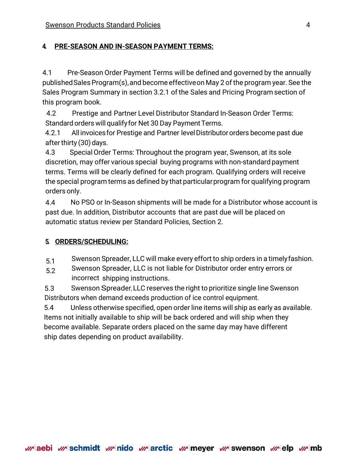### **4. PRE-SEASON AND IN-SEASON PAYMENT TERMS:**

4.1 Pre-Season Order Payment Terms will be defined and governed by the annually published Sales Program(s), and become effective on May 2 of the program year. See the Sales Program Summary in section 3.2.1 of the Sales and Pricing Program section of this program book.

4.2 Prestige and Partner Level Distributor Standard In-Season Order Terms: Standard orders will qualify for Net 30 Day Payment Terms.

4.2.1 All invoicesfor Prestige and Partner levelDistributororders become past due after thirty  $(30)$  days.

4.3 SpecialOrder Terms: Throughout the program year, Swenson, at its sole discretion, may offer various special buying programs with non-standard payment terms. Terms will be clearly defined for each program. Qualifying orders will receive the special program terms as defined by that particularprogram for qualifying program orders only.

4.4 No PSO or In-Season shipments will be made for a Distributor whose account is past due. In addition, Distributor accounts that are past due will be placed on automatic status review per Standard Policies, Section 2.

### **5. ORDERS/SCHEDULING:**

5.1 Swenson Spreader, LLC will make every effort to ship orders in a timelyfashion.

5.2 Swenson Spreader, LLC is not liable for Distributor order entry errors or incorrect shipping instructions.

5.3 Swenson Spreader, LLC reserves the right to prioritize single line Swenson Distributors when demand exceeds production of ice control equipment.

5.4 Unless otherwise specified, open order line items will ship as early as available. Items not initially available to ship will be back ordered and will ship when they become available. Separate orders placed on the same day may have different ship dates depending on product availability.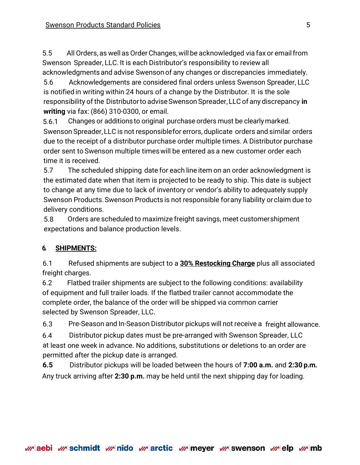5.5 All Orders, as well as OrderChanges,willbe acknowledged via fax or email from Swenson Spreader, LLC. It is each Distributor's responsibility to review all acknowledgments and advise Swenson of any changes or discrepancies immediately.

5.6 Acknowledgements are considered final orders unless Swenson Spreader, LLC is notified in writing within 24 hours of a change by the Distributor. It is the sole responsibility of the Distributorto advise Swenson Spreader,LLC of any discrepancy **in writing** via fax: (866) 310-0300, or email.

5.6.1 Changes or additionsto original purchase orders must be clearlymarked. Swenson Spreader, LLC is not responsible for errors, duplicate orders and similar orders due to the receipt of a distributor purchase order multiple times. A Distributor purchase order sent to Swenson multiple timeswill be entered as a new customer order each time it is received.

5.7 The scheduled shipping date for each line item on an order acknowledgment is the estimated date when that item is projected to be ready to ship. This date is subject to change at any time due to lack of inventory or vendor's ability to adequately supply Swenson Products. Swenson Products is not responsible for any liability or claim due to delivery conditions.

5.8 Orders are scheduled to maximize freight savings, meet customershipment expectations and balance production levels.

## **6. SHIPMENTS:**

6.1 Refused shipments are subject to a **30% Restocking Charge** plus all associated freight charges.

6.2 Flatbed trailer shipments are subject to the following conditions: availability of equipment and full trailer loads. If the flatbed trailer cannot accommodate the complete order, the balance of the order will be shipped via common carrier selected by Swenson Spreader, LLC.

6.3 Pre-Season and In-Season Distributor pickups will not receive a freight allowance.

6.4 Distributor pickup dates must be pre-arranged with Swenson Spreader, LLC at least one week in advance. No additions, substitutions or deletions to an order are permitted after the pickup date is arranged.

**6.5** Distributor pickups will be loaded between the hours of **7:00 a.m.** and **2:30 p.m.** Any truck arriving after **2:30 p.m.** may be held until the next shipping day for loading.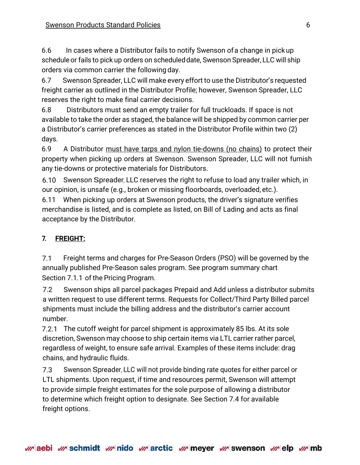6.6 In cases where a Distributor fails to notify Swenson ofa change in pickup schedule or fails to pick up orders on scheduled date, Swenson Spreader, LLC will ship orders via common carrier the following day.

6.7 Swenson Spreader, LLC will make every effort to use the Distributor's requested freight carrier as outlined in the Distributor Profile; however, Swenson Spreader, LLC reserves the right to make final carrier decisions.

6.8 Distributors must send an empty trailer for full truckloads. If space is not available to take the order as staged, the balance will be shipped by common carrier per a Distributor's carrier preferences as stated in the Distributor Profile within two (2) days.

6.9 A Distributor must have tarps and nylon tie-downs (no chains) to protect their property when picking up orders at Swenson. Swenson Spreader, LLC will not furnish any tie-downs or protective materials for Distributors.

6.10 Swenson Spreader, LLC reserves the right to refuse to load any trailer which, in our opinion, is unsafe (e.g., broken or missing floorboards, overloaded, etc.).

6.11 When picking up orders at Swenson products, the driver's signature verifies merchandise is listed, and is complete as listed, on Bill of Lading and acts as final acceptance by the Distributor.

# **7. FREIGHT:**

7.1 Freight terms and charges for Pre-Season Orders (PSO) will be governed by the annually published Pre-Season sales program. See program summary chart Section 7.1.1 of the Pricing Program.

7.2 Swenson ships all parcel packages Prepaid and Add unless a distributor submits a written request to use different terms. Requests for Collect/Third Party Billed parcel shipments must include the billing address and the distributor's carrier account number.

7.2.1 The cutoff weight for parcel shipment is approximately 85 lbs. At its sole discretion, Swenson may choose to ship certain items via LTL carrier rather parcel, regardless of weight, to ensure safe arrival. Examples of these items include: drag chains, and hydraulic fluids.

7.3 Swenson Spreader, LLC will not provide binding rate quotes for either parcel or LTL shipments. Upon request, if time and resources permit, Swenson will attempt to provide simple freight estimates for the sole purpose of allowing a distributor to determine which freight option to designate. See Section 7.4 for available freight options.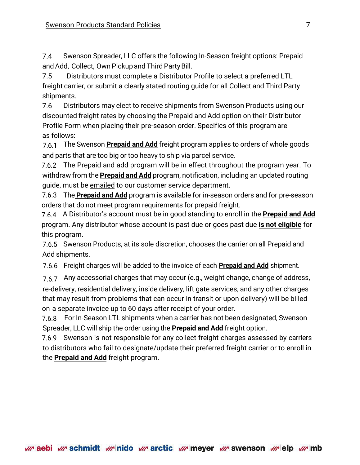7.4 Swenson Spreader, LLC offers the following In-Season freight options: Prepaid and Add, Collect, Own Pickup and Third Party Bill.

7.5 Distributors must complete a Distributor Profile to select a preferred LTL freight carrier, or submit a clearly stated routing guide for all Collect and Third Party shipments.

7.6 Distributors may elect to receive shipments from Swenson Products using our discounted freight rates by choosing the Prepaid and Add option on their Distributor Profile Form when placing their pre-season order. Specifics of this program are as follows:

7.6.1 The Swenson **Prepaid and Add** freight program applies to orders of whole goods and parts that are too big or too heavy to ship via parcel service.

7.6.2 The Prepaid and add program will be in effect throughout the program year. To withdraw from the **Prepaid and Add** program, notification, including an updated routing guide, must be emailed to our customer service department.

7.6.3 The **Prepaid and Add** program is available for in-season orders and for pre-season orders that do not meet program requirements for prepaid freight.

7.6.4 A Distributor's account must be in good standing to enroll in the **Prepaid and Add** program. Any distributor whose account is past due or goes past due **is not eligible** for this program.

7.6.5 Swenson Products, at its sole discretion, chooses the carrier on all Prepaid and Add shipments.

7.6.6 Freight charges will be added to the invoice of each **Prepaid and Add** shipment.

7.6.7 Any accessorial charges that may occur (e.g., weight change, change of address,

re-delivery, residential delivery, inside delivery, lift gate services, and any other charges that may result from problems that can occur in transit or upon delivery) will be billed on a separate invoice up to 60 days after receipt of your order.

7.6.8 For In-Season LTL shipments when a carrier has not been designated, Swenson Spreader, LLC will ship the order using the **Prepaid and Add** freight option.

7.6.9 Swenson is not responsible for any collect freight charges assessed by carriers to distributors who fail to designate/update their preferred freight carrier or to enroll in the **Prepaid and Add** freight program.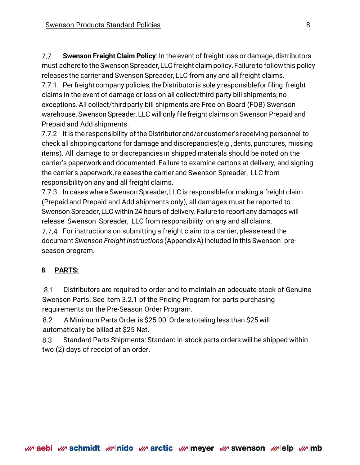7.7 **Swenson Freight Claim Policy**: In the event of freight loss or damage, distributors must adhere to the Swenson Spreader, LLC freight claim policy. Failure to follow this policy releases the carrier and Swenson Spreader, LLC from any and allfreight claims.

7.7.1 Per freight company policies,the Distributoris solely responsiblefor filing freight claims in the event of damage or loss on all collect/third party bill shipments; no exceptions. All collect/third party bill shipments are Free on Board (FOB) Swenson warehouse.Swenson Spreader, LLC willonly file freight claims on Swenson Prepaid and Prepaid and Add shipments.

7.7.2 It is the responsibility of the Distributorand/or customer's receiving personnel to check all shipping cartons for damage and discrepancies(e.g.,dents, punctures, missing items). All damage to or discrepancies in shipped materials should be noted on the carrier's paperwork and documented. Failure to examine cartons at delivery, and signing the carrier's paperwork, releases the carrier and Swenson Spreader, LLC from responsibilityon any and all freight claims.

7.7.3 In cases where Swenson Spreader, LLC is responsiblefor making a freight claim (Prepaid and Prepaid and Add shipments only), all damages must be reported to Swenson Spreader, LLC within 24 hours of delivery.Failure to report any damages will release Swenson Spreader, LLC from responsibility on any and all claims. 7.7.4 For instructions on submitting a freight claim to a carrier, please read the

document *Swenson Freight Instructions* (AppendixA)included in this Swenson preseason program.

#### **8. PARTS:**

8.1 Distributors are required to order and to maintain an adequate stock of Genuine Swenson Parts. See item 3.2.1 of the Pricing Program for parts purchasing requirements on the Pre-Season Order Program.

8.2 A Minimum Parts Order is \$25.00. Orders totaling less than \$25 will automatically be billed at \$25 Net.

8.3 Standard Parts Shipments: Standard in-stock parts orders will be shipped within two (2) days of receipt of an order.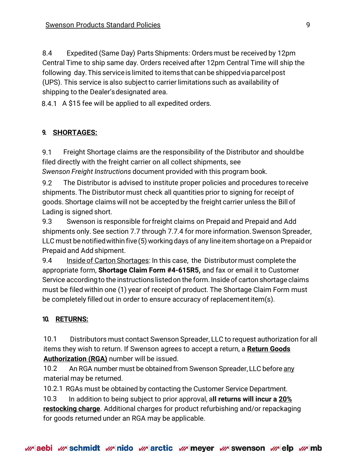8.4 Expedited (Same Day) Parts Shipments: Orders must be received by 12pm Central Time to ship same day. Orders received after 12pm Central Time will ship the following day.This serviceis limited to items that can be shippedviaparcelpost (UPS). This service is also subjectto carrier limitations such as availability of shipping to the Dealer'sdesignated area.

8.4.1 A \$15 fee will be applied to all expedited orders.

#### **9. SHORTAGES:**

9.1 Freight Shortage claims are the responsibility of the Distributor and shouldbe filed directly with the freight carrier on all collect shipments, see

*Swenson Freight Instructions* document provided with this program book.

9.2 The Distributor is advised to institute proper policies and procedures to receive shipments. The Distributor must check all quantities prior to signing for receipt of goods. Shortage claims will not be accepted by the freight carrier unless the Bill of Lading is signed short.

9.3 Swenson is responsible forfreight claims on Prepaid and Prepaid and Add shipments only. See section 7.7 through 7.7.4 for more information. Swenson Spreader, LLC must be notifiedwithin five (5) workingdays of any line item shortage on a Prepaid or Prepaid and Add shipment.

9.4 Inside of Carton Shortages: In this case, the Distributor must complete the appropriate form, **Shortage Claim Form #4-615R5,** and fax or email it to Customer Service accordingto the instructionslisted on the form. Inside of carton shortage claims must be filed within one (1) year of receipt of product. The Shortage Claim Form must be completely filled out in order to ensure accuracy of replacementitem(s).

#### **10. RETURNS:**

10.1 Distributors must contact Swenson Spreader, LLC to request authorization for all items they wish to return. If Swenson agrees to accept a return, a **Return Goods Authorization (RGA)** number will be issued.

10.2 An RGA number must be obtainedfrom Swenson Spreader, LLC before any material may be returned.

10.2.1 RGAs must be obtained by contacting the Customer Service Department.

10.3 In addition to being subject to prior approval, a**ll returns will incur a 20% restocking charge**. Additional charges for product refurbishing and/or repackaging for goods returned under an RGA may be applicable.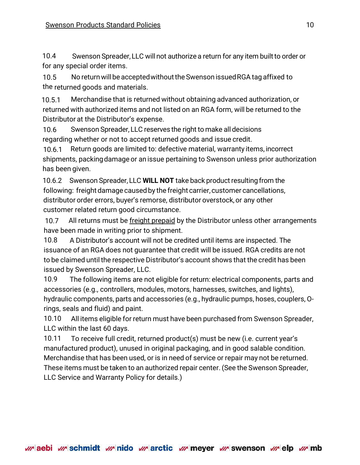10.4 Swenson Spreader, LLC will not authorize a return for any item built to order or for any special order items.

10.5 No return will be accepted without the Swenson issued RGA tag affixed to the returned goods and materials.

10.5.1 Merchandise that is returned without obtaining advanced authorization, or returned with authorized items and not listed on an RGA form, will be returned to the Distributor at the Distributor's expense.

10.6 Swenson Spreader, LLC reserves the right to make all decisions regarding whether or not to accept returned goods and issue credit.

10.6.1 Return goods are limited to: defective material, warranty items, incorrect shipments, packingdamage or an issue pertaining to Swenson unless prior authorization has been given.

10.6.2 Swenson Spreader, LLC **WILL NOT** take back product resultingfrom the following: freight damage caused by the freight carrier, customer cancellations, distributor order errors, buyer's remorse, distributor overstock, or any other customer related return good circumstance.

10.7 All returns must be freight prepaid by the Distributor unless other arrangements have been made in writing prior to shipment.

10.8 A Distributor's account will not be credited until items are inspected. The issuance of an RGA does not guarantee that credit will be issued. RGA credits are not to be claimed until the respective Distributor's account shows that the credit has been issued by Swenson Spreader, LLC.

10.9 The following items are not eligible for return: electrical components, parts and accessories (e.g., controllers, modules, motors, harnesses, switches, and lights), hydraulic components, parts and accessories (e.g., hydraulic pumps, hoses, couplers, Orings, seals and fluid) and paint.

10.10 All items eligible for return must have been purchased from Swenson Spreader, LLC within the last 60 days.

10.11 To receive full credit, returned product(s) must be new (i.e. current year's manufactured product), unused in original packaging, and in good salable condition. Merchandise that has been used, or is in need of service or repair may not be returned. These items must be taken to an authorized repair center. (See the Swenson Spreader, LLC Service and Warranty Policy for details.)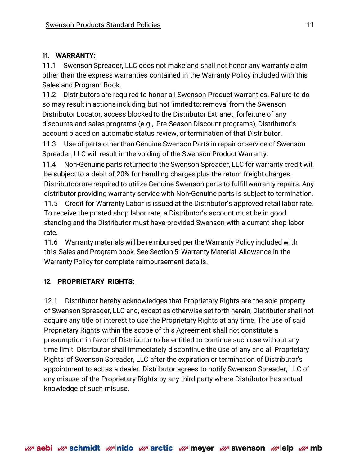### **11. WARRANTY:**

11.1 Swenson Spreader, LLC does not make and shall not honor any warranty claim other than the express warranties contained in the Warranty Policy included with this Sales and Program Book.

11.2 Distributors are required to honor all Swenson Product warranties. Failure to do so may result in actions including, but not limited to: removal from the Swenson Distributor Locator, access blockedto the Distributor Extranet, forfeiture of any discounts and sales programs (e.g., Pre-Season Discount programs), Distributor's account placed on automatic status review, or termination of that Distributor.

11.3 Use of parts other than Genuine Swenson Parts in repair or service of Swenson Spreader, LLC will result in the voiding of the Swenson Product Warranty.

11.4 Non-Genuine parts returned to the Swenson Spreader, LLC for warranty credit will be subject to a debit of 20% for handling charges plus the return freight charges. Distributors are required to utilize Genuine Swenson parts to fulfill warranty repairs. Any distributor providing warranty service with Non-Genuine parts is subject to termination.

11.5 Credit for Warranty Labor is issued at the Distributor's approved retail labor rate. To receive the posted shop labor rate, a Distributor's account must be in good standing and the Distributor must have provided Swenson with a current shop labor rate.

11.6 Warranty materials will be reimbursed per the Warranty Policy included with this Sales and Program book. See Section 5: Warranty Material Allowance in the Warranty Policy for complete reimbursement details.

## **12. PROPRIETARY RIGHTS:**

12.1 Distributor hereby acknowledges that Proprietary Rights are the sole property of Swenson Spreader, LLC and, except as otherwise set forth herein, Distributor shall not acquire any title or interest to use the Proprietary Rights at any time. The use of said Proprietary Rights within the scope of this Agreement shall not constitute a presumption in favor of Distributor to be entitled to continue such use without any time limit. Distributor shall immediately discontinue the use of any and all Proprietary Rights of Swenson Spreader, LLC after the expiration or termination of Distributor's appointment to act as a dealer. Distributor agrees to notify Swenson Spreader, LLC of any misuse of the Proprietary Rights by any third party where Distributor has actual knowledge of such misuse.